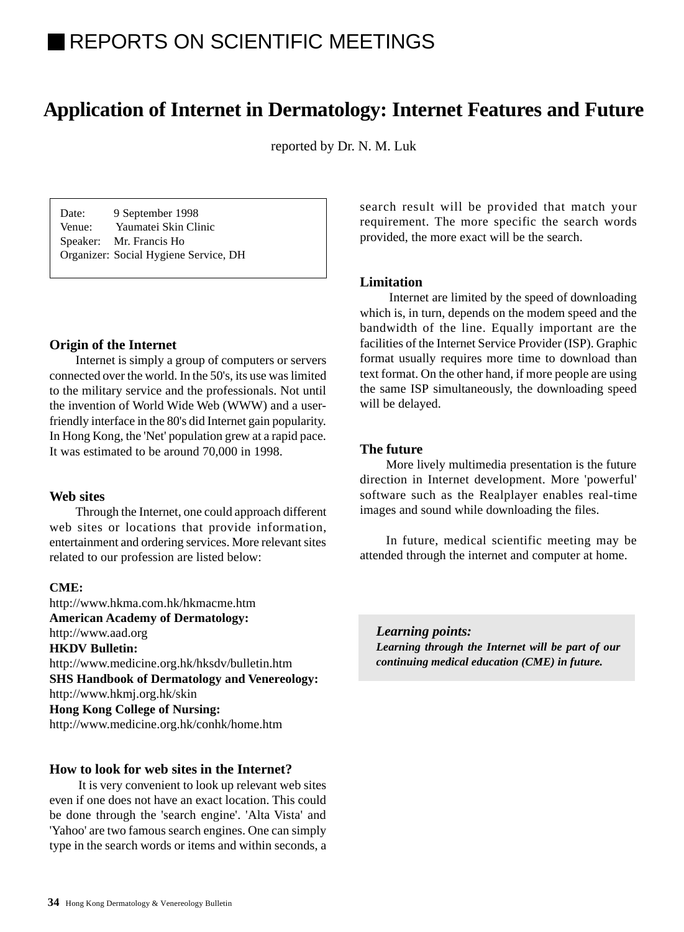# REPORTS ON SCIENTIFIC MEETINGS

## **Application of Internet in Dermatology: Internet Features and Future**

reported by Dr. N. M. Luk

Date: 9 September 1998 Venue: Yaumatei Skin Clinic Speaker: Mr. Francis Ho Organizer: Social Hygiene Service, DH

#### **Origin of the Internet**

Internet is simply a group of computers or servers connected over the world. In the 50's, its use was limited to the military service and the professionals. Not until the invention of World Wide Web (WWW) and a userfriendly interface in the 80's did Internet gain popularity. In Hong Kong, the 'Net' population grew at a rapid pace. It was estimated to be around 70,000 in 1998.

#### **Web sites**

Through the Internet, one could approach different web sites or locations that provide information, entertainment and ordering services. More relevant sites related to our profession are listed below:

#### **CME:**

http://www.hkma.com.hk/hkmacme.htm **American Academy of Dermatology:** http://www.aad.org **HKDV Bulletin:** http://www.medicine.org.hk/hksdv/bulletin.htm **SHS Handbook of Dermatology and Venereology:** http://www.hkmj.org.hk/skin **Hong Kong College of Nursing:** http://www.medicine.org.hk/conhk/home.htm

#### **How to look for web sites in the Internet?**

 It is very convenient to look up relevant web sites even if one does not have an exact location. This could be done through the 'search engine'. 'Alta Vista' and 'Yahoo' are two famous search engines. One can simply type in the search words or items and within seconds, a search result will be provided that match your requirement. The more specific the search words provided, the more exact will be the search.

#### **Limitation**

 Internet are limited by the speed of downloading which is, in turn, depends on the modem speed and the bandwidth of the line. Equally important are the facilities of the Internet Service Provider (ISP). Graphic format usually requires more time to download than text format. On the other hand, if more people are using the same ISP simultaneously, the downloading speed will be delayed.

#### **The future**

More lively multimedia presentation is the future direction in Internet development. More 'powerful' software such as the Realplayer enables real-time images and sound while downloading the files.

In future, medical scientific meeting may be attended through the internet and computer at home.

*Learning points: Learning through the Internet will be part of our continuing medical education (CME) in future.*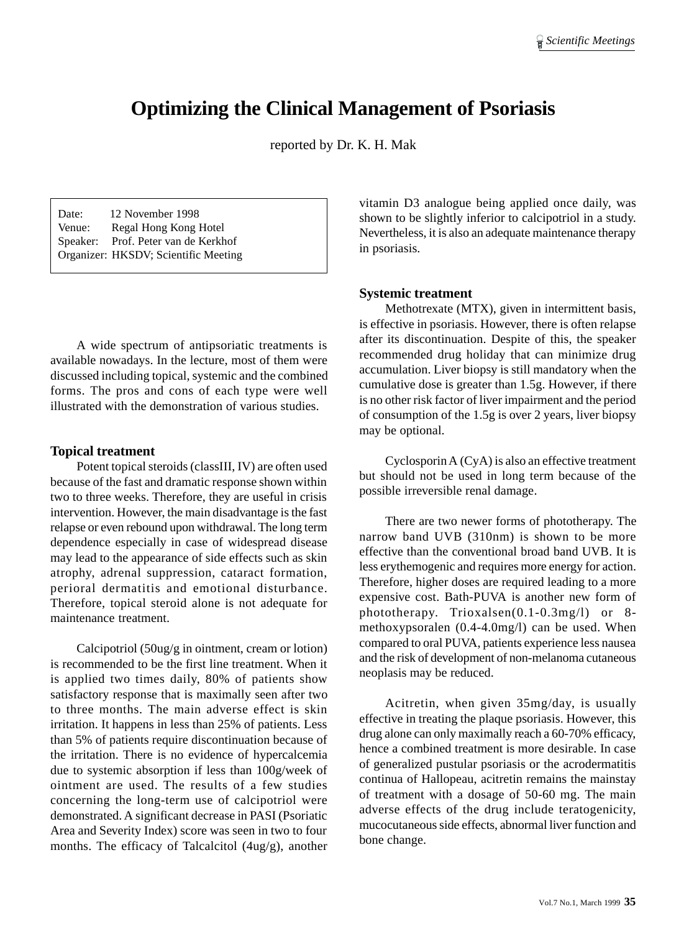## **Optimizing the Clinical Management of Psoriasis**

reported by Dr. K. H. Mak

Date: 12 November 1998 Venue: Regal Hong Kong Hotel Speaker: Prof. Peter van de Kerkhof Organizer: HKSDV; Scientific Meeting

A wide spectrum of antipsoriatic treatments is available nowadays. In the lecture, most of them were discussed including topical, systemic and the combined forms. The pros and cons of each type were well illustrated with the demonstration of various studies.

#### **Topical treatment**

Potent topical steroids (classIII, IV) are often used because of the fast and dramatic response shown within two to three weeks. Therefore, they are useful in crisis intervention. However, the main disadvantage is the fast relapse or even rebound upon withdrawal. The long term dependence especially in case of widespread disease may lead to the appearance of side effects such as skin atrophy, adrenal suppression, cataract formation, perioral dermatitis and emotional disturbance. Therefore, topical steroid alone is not adequate for maintenance treatment.

Calcipotriol (50ug/g in ointment, cream or lotion) is recommended to be the first line treatment. When it is applied two times daily, 80% of patients show satisfactory response that is maximally seen after two to three months. The main adverse effect is skin irritation. It happens in less than 25% of patients. Less than 5% of patients require discontinuation because of the irritation. There is no evidence of hypercalcemia due to systemic absorption if less than 100g/week of ointment are used. The results of a few studies concerning the long-term use of calcipotriol were demonstrated. A significant decrease in PASI (Psoriatic Area and Severity Index) score was seen in two to four months. The efficacy of Talcalcitol (4ug/g), another

vitamin D3 analogue being applied once daily, was shown to be slightly inferior to calcipotriol in a study. Nevertheless, it is also an adequate maintenance therapy in psoriasis.

#### **Systemic treatment**

Methotrexate (MTX), given in intermittent basis, is effective in psoriasis. However, there is often relapse after its discontinuation. Despite of this, the speaker recommended drug holiday that can minimize drug accumulation. Liver biopsy is still mandatory when the cumulative dose is greater than 1.5g. However, if there is no other risk factor of liver impairment and the period of consumption of the 1.5g is over 2 years, liver biopsy may be optional.

Cyclosporin A (CyA) is also an effective treatment but should not be used in long term because of the possible irreversible renal damage.

There are two newer forms of phototherapy. The narrow band UVB (310nm) is shown to be more effective than the conventional broad band UVB. It is less erythemogenic and requires more energy for action. Therefore, higher doses are required leading to a more expensive cost. Bath-PUVA is another new form of phototherapy. Trioxalsen(0.1-0.3mg/l) or 8 methoxypsoralen (0.4-4.0mg/l) can be used. When compared to oral PUVA, patients experience less nausea and the risk of development of non-melanoma cutaneous neoplasis may be reduced.

Acitretin, when given 35mg/day, is usually effective in treating the plaque psoriasis. However, this drug alone can only maximally reach a 60-70% efficacy, hence a combined treatment is more desirable. In case of generalized pustular psoriasis or the acrodermatitis continua of Hallopeau, acitretin remains the mainstay of treatment with a dosage of 50-60 mg. The main adverse effects of the drug include teratogenicity, mucocutaneous side effects, abnormal liver function and bone change.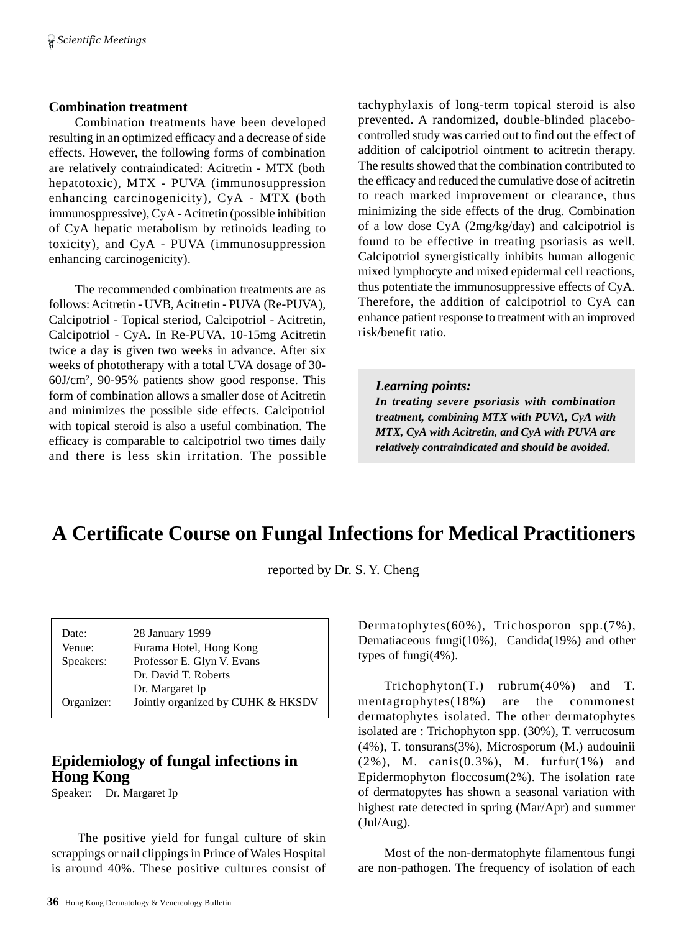#### **Combination treatment**

Combination treatments have been developed resulting in an optimized efficacy and a decrease of side effects. However, the following forms of combination are relatively contraindicated: Acitretin - MTX (both hepatotoxic), MTX - PUVA (immunosuppression enhancing carcinogenicity), CyA - MTX (both immunosppressive), CyA - Acitretin (possible inhibition of CyA hepatic metabolism by retinoids leading to toxicity), and CyA - PUVA (immunosuppression enhancing carcinogenicity).

The recommended combination treatments are as follows: Acitretin - UVB, Acitretin - PUVA (Re-PUVA), Calcipotriol - Topical steriod, Calcipotriol - Acitretin, Calcipotriol - CyA. In Re-PUVA, 10-15mg Acitretin twice a day is given two weeks in advance. After six weeks of phototherapy with a total UVA dosage of 30- 60J/cm2 , 90-95% patients show good response. This form of combination allows a smaller dose of Acitretin and minimizes the possible side effects. Calcipotriol with topical steroid is also a useful combination. The efficacy is comparable to calcipotriol two times daily and there is less skin irritation. The possible tachyphylaxis of long-term topical steroid is also prevented. A randomized, double-blinded placebocontrolled study was carried out to find out the effect of addition of calcipotriol ointment to acitretin therapy. The results showed that the combination contributed to the efficacy and reduced the cumulative dose of acitretin to reach marked improvement or clearance, thus minimizing the side effects of the drug. Combination of a low dose CyA (2mg/kg/day) and calcipotriol is found to be effective in treating psoriasis as well. Calcipotriol synergistically inhibits human allogenic mixed lymphocyte and mixed epidermal cell reactions, thus potentiate the immunosuppressive effects of CyA. Therefore, the addition of calcipotriol to CyA can enhance patient response to treatment with an improved risk/benefit ratio.

*Learning points: In treating severe psoriasis with combination treatment, combining MTX with PUVA, CyA with MTX, CyA with Acitretin, and CyA with PUVA are relatively contraindicated and should be avoided.*

## **A Certificate Course on Fungal Infections for Medical Practitioners**

reported by Dr. S. Y. Cheng

| Date:      | 28 January 1999                   |
|------------|-----------------------------------|
| Venue:     | Furama Hotel, Hong Kong           |
| Speakers:  | Professor E. Glyn V. Evans        |
|            | Dr. David T. Roberts              |
|            | Dr. Margaret Ip                   |
| Organizer: | Jointly organized by CUHK & HKSDV |

## **Epidemiology of fungal infections in Hong Kong**

Speaker: Dr. Margaret Ip

The positive yield for fungal culture of skin scrappings or nail clippings in Prince of Wales Hospital is around 40%. These positive cultures consist of Dermatophytes(60%), Trichosporon spp.(7%), Dematiaceous fungi(10%), Candida(19%) and other types of fungi(4%).

Trichophyton(T.) rubrum(40%) and T. mentagrophytes(18%) are the commonest dermatophytes isolated. The other dermatophytes isolated are : Trichophyton spp. (30%), T. verrucosum (4%), T. tonsurans(3%), Microsporum (M.) audouinii (2%), M. canis(0.3%), M. furfur(1%) and Epidermophyton floccosum(2%). The isolation rate of dermatopytes has shown a seasonal variation with highest rate detected in spring (Mar/Apr) and summer (Jul/Aug).

Most of the non-dermatophyte filamentous fungi are non-pathogen. The frequency of isolation of each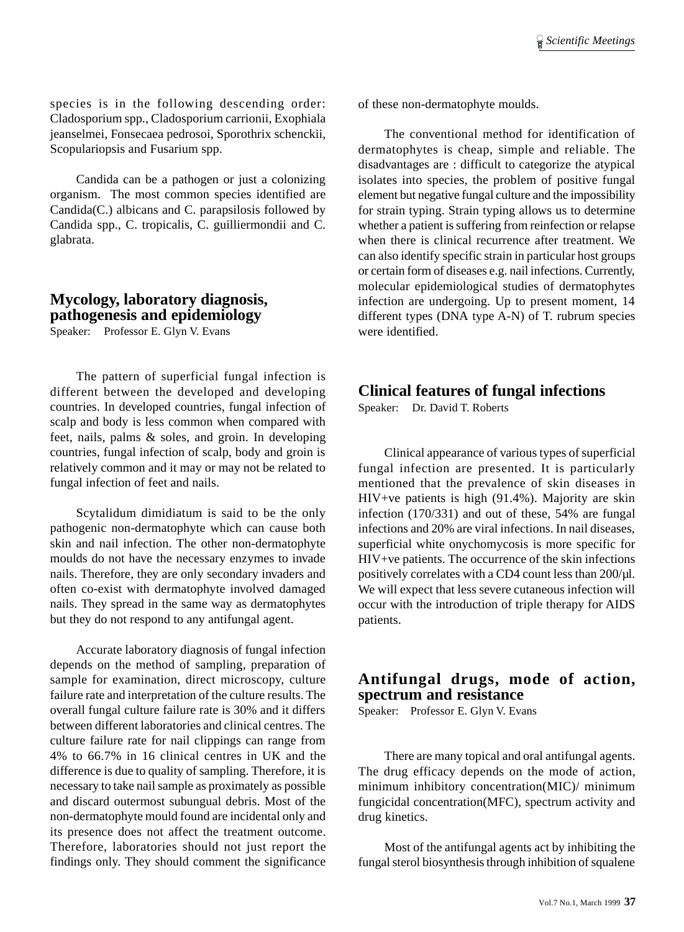species is in the following descending order: Cladosporium spp., Cladosporium carrionii, Exophiala jeanselmei, Fonsecaea pedrosoi, Sporothrix schenckii, Scopulariopsis and Fusarium spp.

Candida can be a pathogen or just a colonizing organism. The most common species identified are Candida(C.) albicans and C. parapsilosis followed by Candida spp., C. tropicalis, C. guilliermondii and C. glabrata.

## **Mycology, laboratory diagnosis, pathogenesis and epidemiology**

Speaker: Professor E. Glyn V. Evans

The pattern of superficial fungal infection is different between the developed and developing countries. In developed countries, fungal infection of scalp and body is less common when compared with feet, nails, palms & soles, and groin. In developing countries, fungal infection of scalp, body and groin is relatively common and it may or may not be related to fungal infection of feet and nails.

Scytalidum dimidiatum is said to be the only pathogenic non-dermatophyte which can cause both skin and nail infection. The other non-dermatophyte moulds do not have the necessary enzymes to invade nails. Therefore, they are only secondary invaders and often co-exist with dermatophyte involved damaged nails. They spread in the same way as dermatophytes but they do not respond to any antifungal agent.

Accurate laboratory diagnosis of fungal infection depends on the method of sampling, preparation of sample for examination, direct microscopy, culture failure rate and interpretation of the culture results. The overall fungal culture failure rate is 30% and it differs between different laboratories and clinical centres. The culture failure rate for nail clippings can range from 4% to 66.7% in 16 clinical centres in UK and the difference is due to quality of sampling. Therefore, it is necessary to take nail sample as proximately as possible and discard outermost subungual debris. Most of the non-dermatophyte mould found are incidental only and its presence does not affect the treatment outcome. Therefore, laboratories should not just report the findings only. They should comment the significance

of these non-dermatophyte moulds.

The conventional method for identification of dermatophytes is cheap, simple and reliable. The disadvantages are : difficult to categorize the atypical isolates into species, the problem of positive fungal element but negative fungal culture and the impossibility for strain typing. Strain typing allows us to determine whether a patient is suffering from reinfection or relapse when there is clinical recurrence after treatment. We can also identify specific strain in particular host groups or certain form of diseases e.g. nail infections. Currently, molecular epidemiological studies of dermatophytes infection are undergoing. Up to present moment, 14 different types (DNA type A-N) of T. rubrum species were identified.

### **Clinical features of fungal infections**

Speaker: Dr. David T. Roberts

Clinical appearance of various types of superficial fungal infection are presented. It is particularly mentioned that the prevalence of skin diseases in HIV+ve patients is high (91.4%). Majority are skin infection (170/331) and out of these, 54% are fungal infections and 20% are viral infections. In nail diseases, superficial white onychomycosis is more specific for HIV+ve patients. The occurrence of the skin infections positively correlates with a CD4 count less than 200/µl. We will expect that less severe cutaneous infection will occur with the introduction of triple therapy for AIDS patients.

### **Antifungal drugs, mode of action, spectrum and resistance**

Speaker: Professor E. Glyn V. Evans

There are many topical and oral antifungal agents. The drug efficacy depends on the mode of action, minimum inhibitory concentration(MIC)/ minimum fungicidal concentration(MFC), spectrum activity and drug kinetics.

Most of the antifungal agents act by inhibiting the fungal sterol biosynthesis through inhibition of squalene